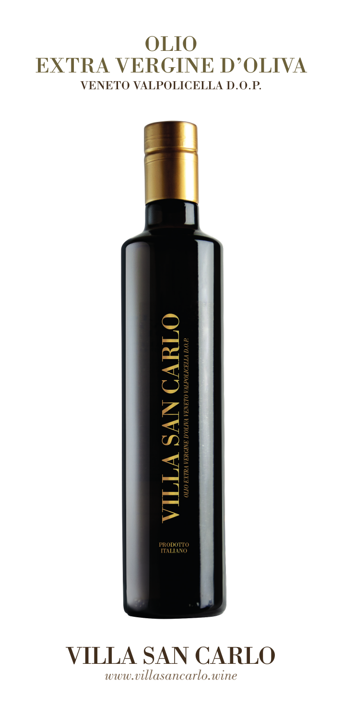# OLIO EXTRA VERGINE D'OLIVA VENETO VALPOLICELLA D.O.P.